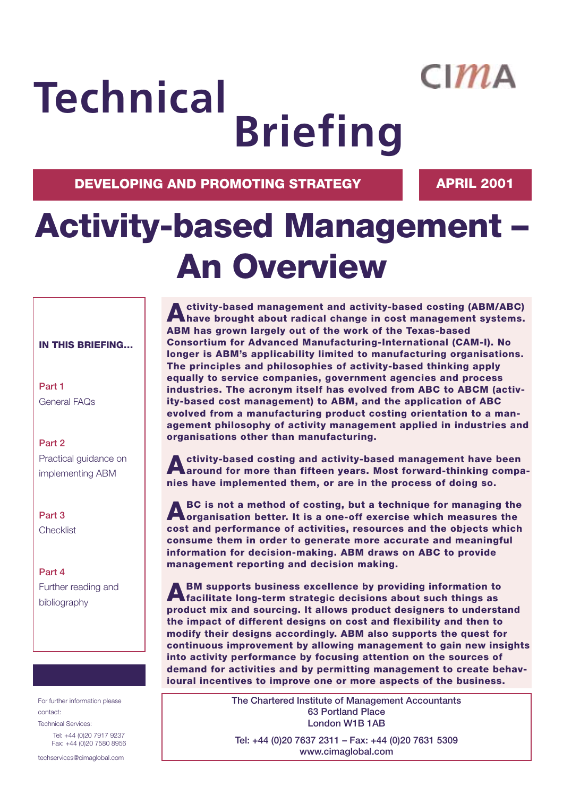## $CIMA$

# **Technical Briefing**

**DEVELOPING AND PROMOTING STRATEGY APRIL 2001** 

## **Activity-based Management – An Overview**

### **IN THIS BRIEFING…**

**Part 1** General FAQs

**Part 2** Practical guidance on implementing ABM

**Part 3 Checklist** 

**Part 4** Further reading and bibliography

For further information please contact: Technical Services: Tel: +44 (0)20 7917 9237 Fax: +44 (0)20 7580 8956

techservices@cimaglobal.com

**Activity-based management and activity-based costing (ABM/ABC) have brought about radical change in cost management systems. ABM has grown largely out of the work of the Texas-based Consortium for Advanced Manufacturing-International (CAM-I). No longer is ABM's applicability limited to manufacturing organisations. The principles and philosophies of activity-based thinking apply equally to service companies, government agencies and process industries. The acronym itself has evolved from ABC to ABCM (activity-based cost management) to ABM, and the application of ABC evolved from a manufacturing product costing orientation to a management philosophy of activity management applied in industries and organisations other than manufacturing.** 

**Activity-based costing and activity-based management have been around for more than fifteen years. Most forward-thinking companies have implemented them, or are in the process of doing so.** 

**ABC is not a method of costing, but a technique for managing the organisation better. It is a one-off exercise which measures the cost and performance of activities, resources and the objects which consume them in order to generate more accurate and meaningful information for decision-making. ABM draws on ABC to provide management reporting and decision making.**

**ABM supports business excellence by providing information to facilitate long-term strategic decisions about such things as product mix and sourcing. It allows product designers to understand the impact of different designs on cost and flexibility and then to modify their designs accordingly. ABM also supports the quest for continuous improvement by allowing management to gain new insights into activity performance by focusing attention on the sources of demand for activities and by permitting management to create behavioural incentives to improve one or more aspects of the business.**

> **The Chartered Institute of Management Accountants 63 Portland Place London W1B 1AB**

**Tel: +44 (0)20 7637 2311 – Fax: +44 (0)20 7631 5309 www.cimaglobal.com**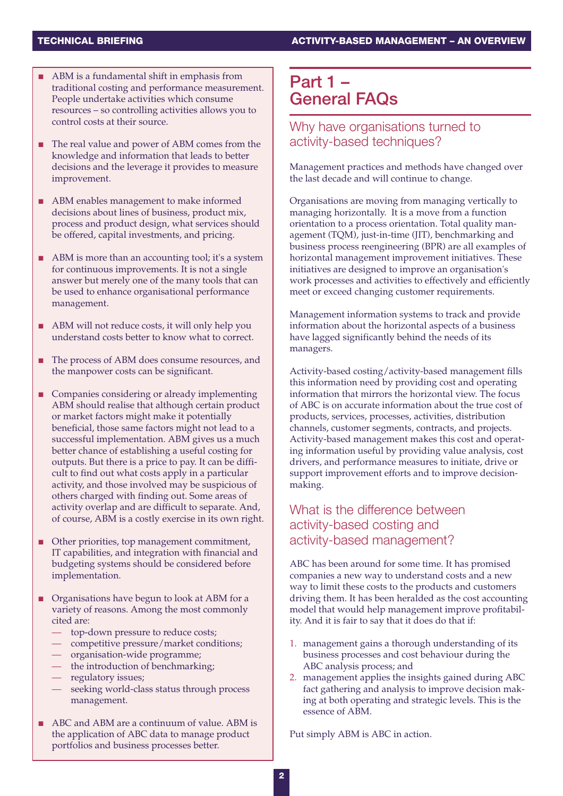- ABM is a fundamental shift in emphasis from traditional costing and performance measurement. People undertake activities which consume resources – so controlling activities allows you to control costs at their source.
- The real value and power of ABM comes from the knowledge and information that leads to better decisions and the leverage it provides to measure improvement.
- ABM enables management to make informed decisions about lines of business, product mix, process and product design, what services should be offered, capital investments, and pricing.
- ABM is more than an accounting tool; it's a system for continuous improvements. It is not a single answer but merely one of the many tools that can be used to enhance organisational performance management.
- ABM will not reduce costs, it will only help you understand costs better to know what to correct.
- The process of ABM does consume resources, and the manpower costs can be significant.
- Companies considering or already implementing ABM should realise that although certain product or market factors might make it potentially beneficial, those same factors might not lead to a successful implementation. ABM gives us a much better chance of establishing a useful costing for outputs. But there is a price to pay. It can be difficult to find out what costs apply in a particular activity, and those involved may be suspicious of others charged with finding out. Some areas of activity overlap and are difficult to separate. And, of course, ABM is a costly exercise in its own right.
- Other priorities, top management commitment, IT capabilities, and integration with financial and budgeting systems should be considered before implementation.
- Organisations have begun to look at ABM for a variety of reasons. Among the most commonly cited are:
	- top-down pressure to reduce costs;
	- competitive pressure/market conditions;
	- organisation-wide programme;
	- the introduction of benchmarking;
	- regulatory issues;
	- seeking world-class status through process management.
- ABC and ABM are a continuum of value. ABM is the application of ABC data to manage product portfolios and business processes better.

## **Part 1 – General FAQs**

## Why have organisations turned to activity-based techniques?

Management practices and methods have changed over the last decade and will continue to change.

Organisations are moving from managing vertically to managing horizontally. It is a move from a function orientation to a process orientation. Total quality management (TQM), just-in-time (JIT), benchmarking and business process reengineering (BPR) are all examples of horizontal management improvement initiatives. These initiatives are designed to improve an organisation's work processes and activities to effectively and efficiently meet or exceed changing customer requirements.

Management information systems to track and provide information about the horizontal aspects of a business have lagged significantly behind the needs of its managers.

Activity-based costing/activity-based management fills this information need by providing cost and operating information that mirrors the horizontal view. The focus of ABC is on accurate information about the true cost of products, services, processes, activities, distribution channels, customer segments, contracts, and projects. Activity-based management makes this cost and operating information useful by providing value analysis, cost drivers, and performance measures to initiate, drive or support improvement efforts and to improve decisionmaking.

## What is the difference between activity-based costing and activity-based management?

ABC has been around for some time. It has promised companies a new way to understand costs and a new way to limit these costs to the products and customers driving them. It has been heralded as the cost accounting model that would help management improve profitability. And it is fair to say that it does do that if:

- 1. management gains a thorough understanding of its business processes and cost behaviour during the ABC analysis process; and
- 2. management applies the insights gained during ABC fact gathering and analysis to improve decision making at both operating and strategic levels. This is the essence of ABM.

Put simply ABM is ABC in action.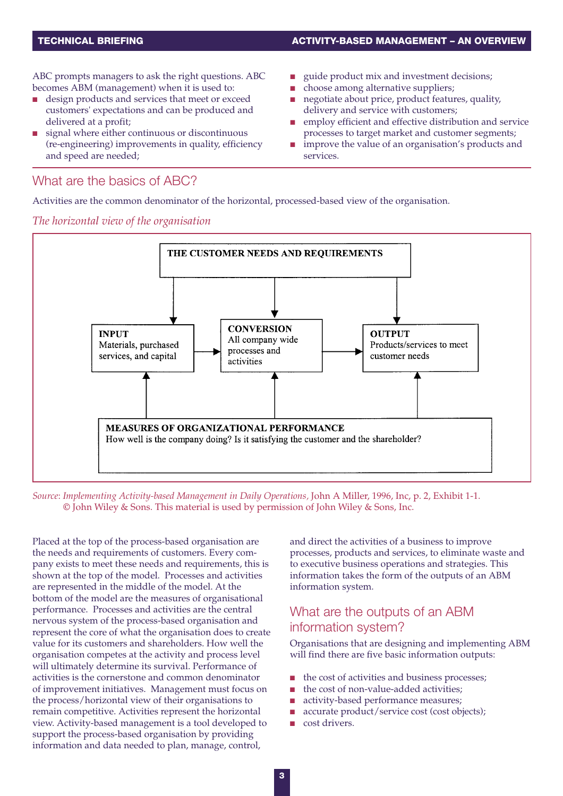ABC prompts managers to ask the right questions. ABC becomes ABM (management) when it is used to:

- design products and services that meet or exceed customers' expectations and can be produced and delivered at a profit;
- signal where either continuous or discontinuous (re-engineering) improvements in quality, efficiency and speed are needed;

#### guide product mix and investment decisions;

- choose among alternative suppliers;
- negotiate about price, product features, quality, delivery and service with customers;
- employ efficient and effective distribution and service processes to target market and customer segments;
- improve the value of an organisation's products and services.

### What are the basics of ABC?

Activities are the common denominator of the horizontal, processed-based view of the organisation.

#### *The horizontal view of the organisation*



*Source*: *Implementing Activity-based Management in Daily Operations,* John A Miller, 1996, Inc, p. 2, Exhibit 1-1. © John Wiley & Sons. This material is used by permission of John Wiley & Sons, Inc.

Placed at the top of the process-based organisation are the needs and requirements of customers. Every company exists to meet these needs and requirements, this is shown at the top of the model. Processes and activities are represented in the middle of the model. At the bottom of the model are the measures of organisational performance. Processes and activities are the central nervous system of the process-based organisation and represent the core of what the organisation does to create value for its customers and shareholders. How well the organisation competes at the activity and process level will ultimately determine its survival. Performance of activities is the cornerstone and common denominator of improvement initiatives. Management must focus on the process/horizontal view of their organisations to remain competitive. Activities represent the horizontal view. Activity-based management is a tool developed to support the process-based organisation by providing information and data needed to plan, manage, control,

and direct the activities of a business to improve processes, products and services, to eliminate waste and to executive business operations and strategies. This information takes the form of the outputs of an ABM information system.

## What are the outputs of an ABM information system?

Organisations that are designing and implementing ABM will find there are five basic information outputs:

- the cost of activities and business processes;
- the cost of non-value-added activities:
- activity-based performance measures:
- accurate product/service cost (cost objects);
- cost drivers.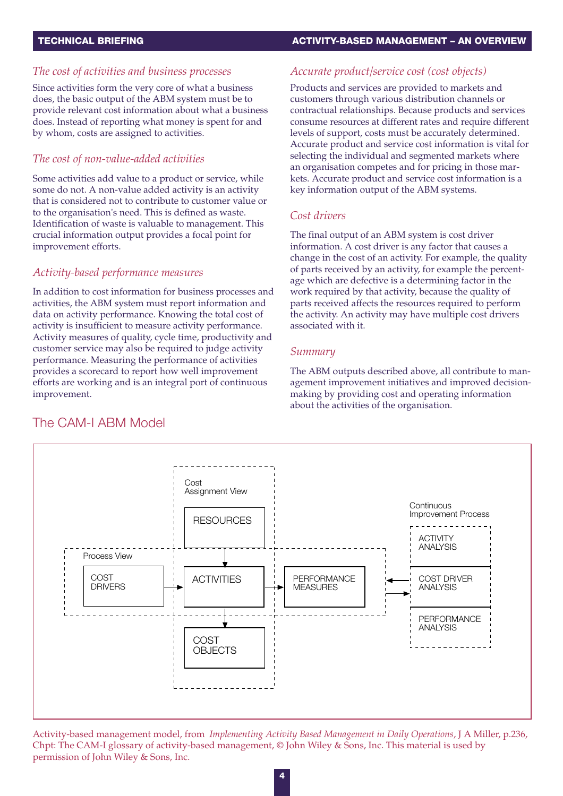#### *The cost of activities and business processes*

Since activities form the very core of what a business does, the basic output of the ABM system must be to provide relevant cost information about what a business does. Instead of reporting what money is spent for and by whom, costs are assigned to activities.

#### *The cost of non-value-added activities*

Some activities add value to a product or service, while some do not. A non-value added activity is an activity that is considered not to contribute to customer value or to the organisation's need. This is defined as waste. Identification of waste is valuable to management. This crucial information output provides a focal point for improvement efforts.

#### *Activity-based performance measures*

In addition to cost information for business processes and activities, the ABM system must report information and data on activity performance. Knowing the total cost of activity is insufficient to measure activity performance. Activity measures of quality, cycle time, productivity and customer service may also be required to judge activity performance. Measuring the performance of activities provides a scorecard to report how well improvement efforts are working and is an integral port of continuous improvement.

#### *Accurate product/service cost (cost objects)*

Products and services are provided to markets and customers through various distribution channels or contractual relationships. Because products and services consume resources at different rates and require different levels of support, costs must be accurately determined. Accurate product and service cost information is vital for selecting the individual and segmented markets where an organisation competes and for pricing in those markets. Accurate product and service cost information is a key information output of the ABM systems.

#### *Cost drivers*

The final output of an ABM system is cost driver information. A cost driver is any factor that causes a change in the cost of an activity. For example, the quality of parts received by an activity, for example the percentage which are defective is a determining factor in the work required by that activity, because the quality of parts received affects the resources required to perform the activity. An activity may have multiple cost drivers associated with it.

#### *Summary*

The ABM outputs described above, all contribute to management improvement initiatives and improved decisionmaking by providing cost and operating information about the activities of the organisation.



Activity-based management model, from *Implementing Activity Based Management in Daily Operations*, J A Miller, p.236, Chpt: The CAM-I glossary of activity-based management, © John Wiley & Sons, Inc. This material is used by permission of John Wiley & Sons, Inc.

## The CAM-I ABM Model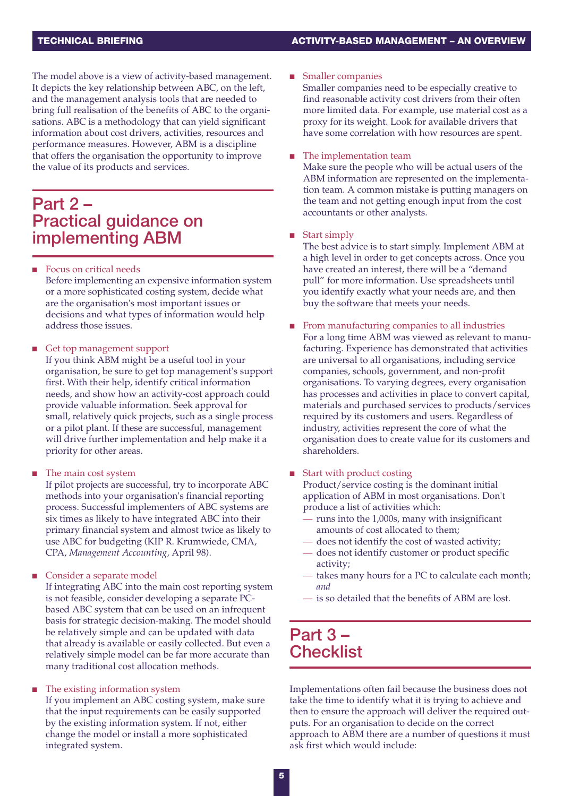The model above is a view of activity-based management. It depicts the key relationship between ABC, on the left, and the management analysis tools that are needed to bring full realisation of the benefits of ABC to the organisations. ABC is a methodology that can yield significant information about cost drivers, activities, resources and performance measures. However, ABM is a discipline that offers the organisation the opportunity to improve the value of its products and services.

## **Part 2 – Practical guidance on implementing ABM**

- Focus on critical needs Before implementing an expensive information system or a more sophisticated costing system, decide what are the organisation's most important issues or decisions and what types of information would help address those issues.
- Get top management support
	- If you think ABM might be a useful tool in your organisation, be sure to get top management's support first. With their help, identify critical information needs, and show how an activity-cost approach could provide valuable information. Seek approval for small, relatively quick projects, such as a single process or a pilot plant. If these are successful, management will drive further implementation and help make it a priority for other areas.
- The main cost system

If pilot projects are successful, try to incorporate ABC methods into your organisation's financial reporting process. Successful implementers of ABC systems are six times as likely to have integrated ABC into their primary financial system and almost twice as likely to use ABC for budgeting (KIP R. Krumwiede, CMA, CPA, *Management Accounting,* April 98).

Consider a separate model

If integrating ABC into the main cost reporting system is not feasible, consider developing a separate PCbased ABC system that can be used on an infrequent basis for strategic decision-making. The model should be relatively simple and can be updated with data that already is available or easily collected. But even a relatively simple model can be far more accurate than many traditional cost allocation methods.

#### The existing information system

If you implement an ABC costing system, make sure that the input requirements can be easily supported by the existing information system. If not, either change the model or install a more sophisticated integrated system.

■ Smaller companies

Smaller companies need to be especially creative to find reasonable activity cost drivers from their often more limited data. For example, use material cost as a proxy for its weight. Look for available drivers that have some correlation with how resources are spent.

#### The implementation team

Make sure the people who will be actual users of the ABM information are represented on the implementation team. A common mistake is putting managers on the team and not getting enough input from the cost accountants or other analysts.

#### Start simply

The best advice is to start simply. Implement ABM at a high level in order to get concepts across. Once you have created an interest, there will be a "demand pull" for more information. Use spreadsheets until you identify exactly what your needs are, and then buy the software that meets your needs.

- From manufacturing companies to all industries For a long time ABM was viewed as relevant to manufacturing. Experience has demonstrated that activities are universal to all organisations, including service companies, schools, government, and non-profit organisations. To varying degrees, every organisation has processes and activities in place to convert capital, materials and purchased services to products/services required by its customers and users. Regardless of industry, activities represent the core of what the organisation does to create value for its customers and shareholders.
- Start with product costing

Product/service costing is the dominant initial application of ABM in most organisations. Don't produce a list of activities which:

- runs into the 1,000s, many with insignificant amounts of cost allocated to them;
- does not identify the cost of wasted activity;
- does not identify customer or product specific activity;
- takes many hours for a PC to calculate each month; *and*
- is so detailed that the benefits of ABM are lost.

## **Part 3 – Checklist**

Implementations often fail because the business does not take the time to identify what it is trying to achieve and then to ensure the approach will deliver the required outputs. For an organisation to decide on the correct approach to ABM there are a number of questions it must ask first which would include: